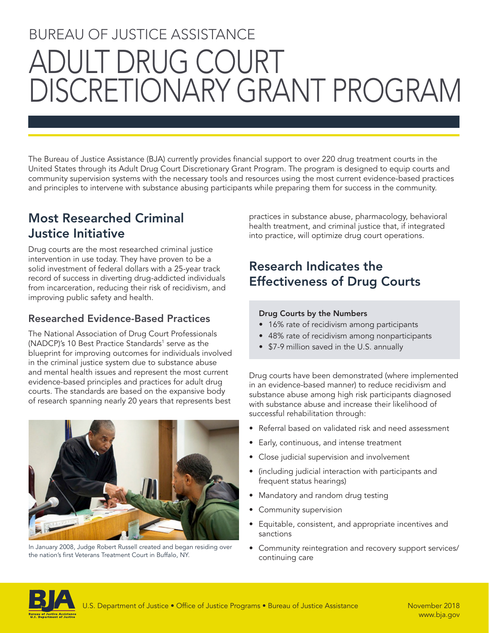# BUREAU OF JUSTICE ASSISTANCE ADULT DRUG COURT DISCRETIONARY GRANT PROGRAM

The Bureau of Justice Assistance (BJA) currently provides financial support to over 220 drug treatment courts in the United States through its Adult Drug Court Discretionary Grant Program. The program is designed to equip courts and community supervision systems with the necessary tools and resources using the most current evidence-based practices and principles to intervene with substance abusing participants while preparing them for success in the community.

## Most Researched Criminal Justice Initiative

Drug courts are the most researched criminal justice intervention in use today. They have proven to be a solid investment of federal dollars with a 25-year track record of success in diverting drug-addicted individuals from incarceration, reducing their risk of recidivism, and improving public safety and health.

#### Researched Evidence-Based Practices

The National Association of Drug Court Professionals (NADCP)'s 10 Best Practice Standards<sup>1</sup> serve as the blueprint for improving outcomes for individuals involved in the criminal justice system due to substance abuse and mental health issues and represent the most current evidence-based principles and practices for adult drug courts. The standards are based on the expansive body of research spanning nearly 20 years that represents best



In January 2008, Judge Robert Russell created and began residing over the nation's first Veterans Treatment Court in Buffalo, NY.

practices in substance abuse, pharmacology, behavioral health treatment, and criminal justice that, if integrated into practice, will optimize drug court operations.

## Research Indicates the Effectiveness of Drug Courts

#### Drug Courts by the Numbers

- 16% rate of recidivism among participants
- 48% rate of recidivism among nonparticipants
- \$7-9 million saved in the U.S. annually

Drug courts have been demonstrated (where implemented in an evidence-based manner) to reduce recidivism and substance abuse among high risk participants diagnosed with substance abuse and increase their likelihood of successful rehabilitation through:

- Referral based on validated risk and need assessment
- Early, continuous, and intense treatment
- Close judicial supervision and involvement
- (including judicial interaction with participants and frequent status hearings)
- Mandatory and random drug testing
- Community supervision
- Equitable, consistent, and appropriate incentives and sanctions
- Community reintegration and recovery support services/ continuing care